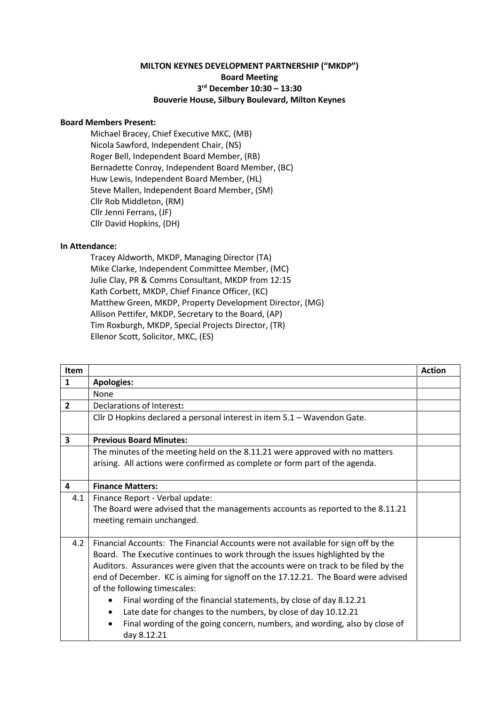## **MILTON KEYNES DEVELOPMENT PARTNERSHIP ("MKDP") Board Meeting 3 rd December 10:30 – 13:30 Bouverie House, Silbury Boulevard, Milton Keynes**

## **Board Members Present:**

Michael Bracey, Chief Executive MKC, (MB) Nicola Sawford, Independent Chair, (NS) Roger Bell, Independent Board Member, (RB) Bernadette Conroy, Independent Board Member, (BC) Huw Lewis, Independent Board Member, (HL) Steve Mallen, Independent Board Member, (SM) Cllr Rob Middleton, (RM) Cllr Jenni Ferrans, (JF) Cllr David Hopkins, (DH)

## **In Attendance:**

Tracey Aldworth, MKDP, Managing Director (TA) Mike Clarke, Independent Committee Member, (MC) Julie Clay, PR & Comms Consultant, MKDP from 12:15 Kath Corbett, MKDP, Chief Finance Officer, (KC) Matthew Green, MKDP, Property Development Director, (MG) Allison Pettifer, MKDP, Secretary to the Board, (AP) Tim Roxburgh, MKDP, Special Projects Director, (TR) Ellenor Scott, Solicitor, MKC, (ES)

| <b>Item</b>    |                                                                                                        | <b>Action</b> |
|----------------|--------------------------------------------------------------------------------------------------------|---------------|
| $\mathbf{1}$   | <b>Apologies:</b>                                                                                      |               |
|                | None                                                                                                   |               |
| $\overline{2}$ | Declarations of Interest:                                                                              |               |
|                | Cllr D Hopkins declared a personal interest in item 5.1 - Wavendon Gate.                               |               |
| 3              | <b>Previous Board Minutes:</b>                                                                         |               |
|                | The minutes of the meeting held on the 8.11.21 were approved with no matters                           |               |
|                | arising. All actions were confirmed as complete or form part of the agenda.                            |               |
|                |                                                                                                        |               |
| 4              | <b>Finance Matters:</b>                                                                                |               |
| 4.1            | Finance Report - Verbal update:                                                                        |               |
|                | The Board were advised that the managements accounts as reported to the 8.11.21                        |               |
|                | meeting remain unchanged.                                                                              |               |
|                |                                                                                                        |               |
| 4.2            | Financial Accounts: The Financial Accounts were not available for sign off by the                      |               |
|                | Board. The Executive continues to work through the issues highlighted by the                           |               |
|                | Auditors. Assurances were given that the accounts were on track to be filed by the                     |               |
|                | end of December. KC is aiming for signoff on the 17.12.21. The Board were advised                      |               |
|                | of the following timescales:                                                                           |               |
|                | Final wording of the financial statements, by close of day 8.12.21<br>$\bullet$                        |               |
|                | Late date for changes to the numbers, by close of day 10.12.21<br>٠                                    |               |
|                | Final wording of the going concern, numbers, and wording, also by close of<br>$\bullet$<br>day 8.12.21 |               |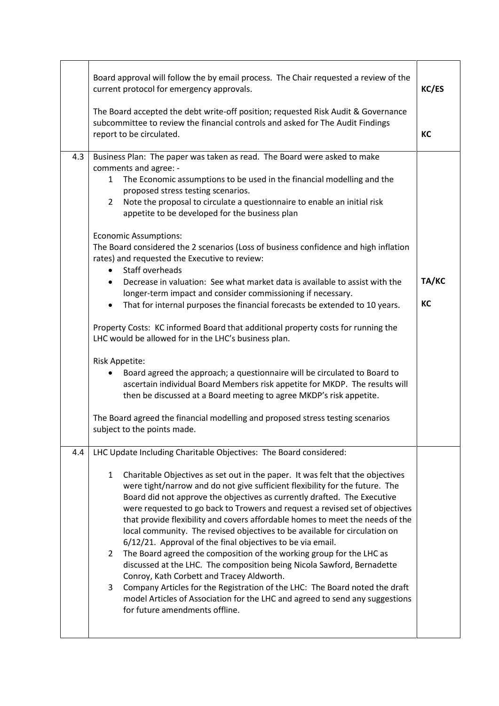|     | Board approval will follow the by email process. The Chair requested a review of the<br>current protocol for emergency approvals.<br>The Board accepted the debt write-off position; requested Risk Audit & Governance<br>subcommittee to review the financial controls and asked for The Audit Findings<br>report to be circulated.                                                                                                                                                                                                                                                                                                                                                                                                                                                                                                                                                                                                                                                                                                                              | KC/ES<br>KC |
|-----|-------------------------------------------------------------------------------------------------------------------------------------------------------------------------------------------------------------------------------------------------------------------------------------------------------------------------------------------------------------------------------------------------------------------------------------------------------------------------------------------------------------------------------------------------------------------------------------------------------------------------------------------------------------------------------------------------------------------------------------------------------------------------------------------------------------------------------------------------------------------------------------------------------------------------------------------------------------------------------------------------------------------------------------------------------------------|-------------|
|     |                                                                                                                                                                                                                                                                                                                                                                                                                                                                                                                                                                                                                                                                                                                                                                                                                                                                                                                                                                                                                                                                   |             |
| 4.3 | Business Plan: The paper was taken as read. The Board were asked to make<br>comments and agree: -<br>The Economic assumptions to be used in the financial modelling and the<br>1<br>proposed stress testing scenarios.<br>Note the proposal to circulate a questionnaire to enable an initial risk<br>$\overline{2}$<br>appetite to be developed for the business plan<br><b>Economic Assumptions:</b><br>The Board considered the 2 scenarios (Loss of business confidence and high inflation                                                                                                                                                                                                                                                                                                                                                                                                                                                                                                                                                                    |             |
|     | rates) and requested the Executive to review:<br>Staff overheads<br>Decrease in valuation: See what market data is available to assist with the<br>$\bullet$<br>longer-term impact and consider commissioning if necessary.<br>That for internal purposes the financial forecasts be extended to 10 years.<br>$\bullet$                                                                                                                                                                                                                                                                                                                                                                                                                                                                                                                                                                                                                                                                                                                                           | TA/KC<br>KC |
|     | Property Costs: KC informed Board that additional property costs for running the<br>LHC would be allowed for in the LHC's business plan.<br>Risk Appetite:<br>Board agreed the approach; a questionnaire will be circulated to Board to<br>$\bullet$<br>ascertain individual Board Members risk appetite for MKDP. The results will<br>then be discussed at a Board meeting to agree MKDP's risk appetite.<br>The Board agreed the financial modelling and proposed stress testing scenarios<br>subject to the points made.                                                                                                                                                                                                                                                                                                                                                                                                                                                                                                                                       |             |
|     |                                                                                                                                                                                                                                                                                                                                                                                                                                                                                                                                                                                                                                                                                                                                                                                                                                                                                                                                                                                                                                                                   |             |
| 4.4 | LHC Update Including Charitable Objectives: The Board considered:<br>Charitable Objectives as set out in the paper. It was felt that the objectives<br>$\mathbf{1}$<br>were tight/narrow and do not give sufficient flexibility for the future. The<br>Board did not approve the objectives as currently drafted. The Executive<br>were requested to go back to Trowers and request a revised set of objectives<br>that provide flexibility and covers affordable homes to meet the needs of the<br>local community. The revised objectives to be available for circulation on<br>6/12/21. Approval of the final objectives to be via email.<br>The Board agreed the composition of the working group for the LHC as<br>$\mathbf{2}$<br>discussed at the LHC. The composition being Nicola Sawford, Bernadette<br>Conroy, Kath Corbett and Tracey Aldworth.<br>3<br>Company Articles for the Registration of the LHC: The Board noted the draft<br>model Articles of Association for the LHC and agreed to send any suggestions<br>for future amendments offline. |             |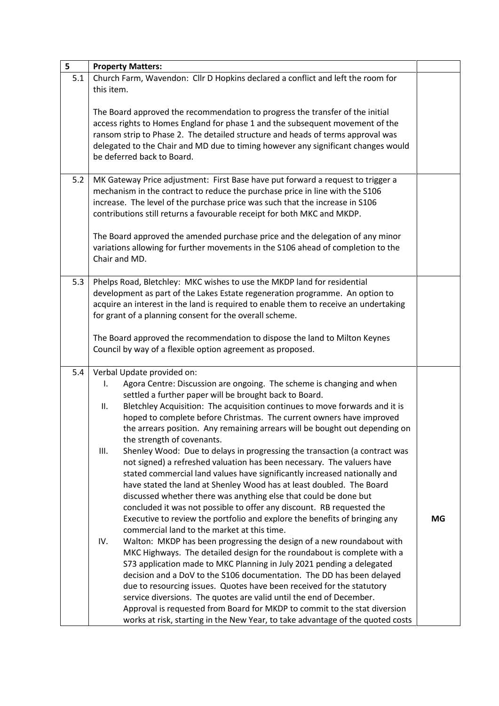| 5   | <b>Property Matters:</b>                                                                                                                                                                                                                                                                                                                                             |    |
|-----|----------------------------------------------------------------------------------------------------------------------------------------------------------------------------------------------------------------------------------------------------------------------------------------------------------------------------------------------------------------------|----|
| 5.1 | Church Farm, Wavendon: Cllr D Hopkins declared a conflict and left the room for<br>this item.                                                                                                                                                                                                                                                                        |    |
|     | The Board approved the recommendation to progress the transfer of the initial<br>access rights to Homes England for phase 1 and the subsequent movement of the<br>ransom strip to Phase 2. The detailed structure and heads of terms approval was<br>delegated to the Chair and MD due to timing however any significant changes would<br>be deferred back to Board. |    |
| 5.2 | MK Gateway Price adjustment: First Base have put forward a request to trigger a                                                                                                                                                                                                                                                                                      |    |
|     | mechanism in the contract to reduce the purchase price in line with the S106<br>increase. The level of the purchase price was such that the increase in S106<br>contributions still returns a favourable receipt for both MKC and MKDP.                                                                                                                              |    |
|     | The Board approved the amended purchase price and the delegation of any minor<br>variations allowing for further movements in the S106 ahead of completion to the<br>Chair and MD.                                                                                                                                                                                   |    |
| 5.3 | Phelps Road, Bletchley: MKC wishes to use the MKDP land for residential                                                                                                                                                                                                                                                                                              |    |
|     | development as part of the Lakes Estate regeneration programme. An option to                                                                                                                                                                                                                                                                                         |    |
|     | acquire an interest in the land is required to enable them to receive an undertaking                                                                                                                                                                                                                                                                                 |    |
|     | for grant of a planning consent for the overall scheme.                                                                                                                                                                                                                                                                                                              |    |
|     | The Board approved the recommendation to dispose the land to Milton Keynes                                                                                                                                                                                                                                                                                           |    |
|     | Council by way of a flexible option agreement as proposed.                                                                                                                                                                                                                                                                                                           |    |
|     |                                                                                                                                                                                                                                                                                                                                                                      |    |
| 5.4 | Verbal Update provided on:                                                                                                                                                                                                                                                                                                                                           |    |
|     | Agora Centre: Discussion are ongoing. The scheme is changing and when<br>I.                                                                                                                                                                                                                                                                                          |    |
|     | settled a further paper will be brought back to Board.                                                                                                                                                                                                                                                                                                               |    |
|     | Bletchley Acquisition: The acquisition continues to move forwards and it is<br>ΙΙ.                                                                                                                                                                                                                                                                                   |    |
|     | hoped to complete before Christmas. The current owners have improved                                                                                                                                                                                                                                                                                                 |    |
|     | the arrears position. Any remaining arrears will be bought out depending on                                                                                                                                                                                                                                                                                          |    |
|     | the strength of covenants.<br>Shenley Wood: Due to delays in progressing the transaction (a contract was<br>III.                                                                                                                                                                                                                                                     |    |
|     | not signed) a refreshed valuation has been necessary. The valuers have                                                                                                                                                                                                                                                                                               |    |
|     | stated commercial land values have significantly increased nationally and                                                                                                                                                                                                                                                                                            |    |
|     | have stated the land at Shenley Wood has at least doubled. The Board                                                                                                                                                                                                                                                                                                 |    |
|     | discussed whether there was anything else that could be done but                                                                                                                                                                                                                                                                                                     |    |
|     | concluded it was not possible to offer any discount. RB requested the                                                                                                                                                                                                                                                                                                |    |
|     | Executive to review the portfolio and explore the benefits of bringing any                                                                                                                                                                                                                                                                                           | MG |
|     | commercial land to the market at this time.                                                                                                                                                                                                                                                                                                                          |    |
|     | Walton: MKDP has been progressing the design of a new roundabout with<br>IV.                                                                                                                                                                                                                                                                                         |    |
|     | MKC Highways. The detailed design for the roundabout is complete with a                                                                                                                                                                                                                                                                                              |    |
|     | S73 application made to MKC Planning in July 2021 pending a delegated<br>decision and a DoV to the S106 documentation. The DD has been delayed                                                                                                                                                                                                                       |    |
|     | due to resourcing issues. Quotes have been received for the statutory                                                                                                                                                                                                                                                                                                |    |
|     | service diversions. The quotes are valid until the end of December.                                                                                                                                                                                                                                                                                                  |    |
|     | Approval is requested from Board for MKDP to commit to the stat diversion                                                                                                                                                                                                                                                                                            |    |
|     | works at risk, starting in the New Year, to take advantage of the quoted costs                                                                                                                                                                                                                                                                                       |    |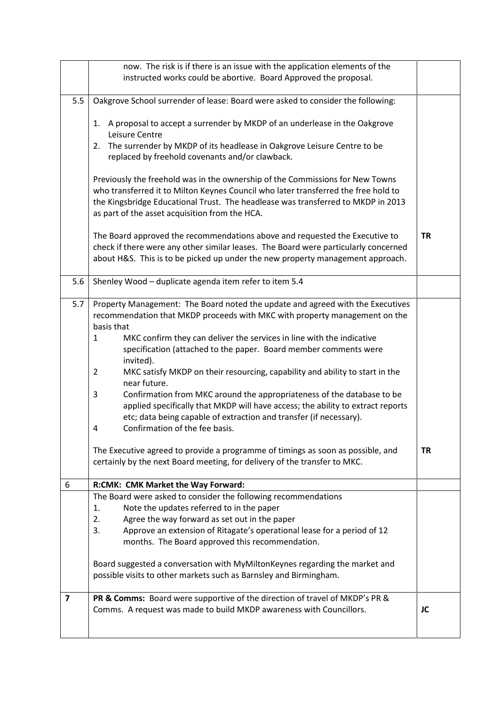|                         | now. The risk is if there is an issue with the application elements of the                                                                                                                                                                                                                                                                                                                                                                                                                                                                                                                                                                                                                                                                                                                                                                                                                                 |           |
|-------------------------|------------------------------------------------------------------------------------------------------------------------------------------------------------------------------------------------------------------------------------------------------------------------------------------------------------------------------------------------------------------------------------------------------------------------------------------------------------------------------------------------------------------------------------------------------------------------------------------------------------------------------------------------------------------------------------------------------------------------------------------------------------------------------------------------------------------------------------------------------------------------------------------------------------|-----------|
|                         | instructed works could be abortive. Board Approved the proposal.                                                                                                                                                                                                                                                                                                                                                                                                                                                                                                                                                                                                                                                                                                                                                                                                                                           |           |
| 5.5                     | Oakgrove School surrender of lease: Board were asked to consider the following:                                                                                                                                                                                                                                                                                                                                                                                                                                                                                                                                                                                                                                                                                                                                                                                                                            |           |
|                         | 1. A proposal to accept a surrender by MKDP of an underlease in the Oakgrove<br>Leisure Centre<br>The surrender by MKDP of its headlease in Oakgrove Leisure Centre to be<br>2.                                                                                                                                                                                                                                                                                                                                                                                                                                                                                                                                                                                                                                                                                                                            |           |
|                         | replaced by freehold covenants and/or clawback.                                                                                                                                                                                                                                                                                                                                                                                                                                                                                                                                                                                                                                                                                                                                                                                                                                                            |           |
|                         | Previously the freehold was in the ownership of the Commissions for New Towns<br>who transferred it to Milton Keynes Council who later transferred the free hold to<br>the Kingsbridge Educational Trust. The headlease was transferred to MKDP in 2013<br>as part of the asset acquisition from the HCA.                                                                                                                                                                                                                                                                                                                                                                                                                                                                                                                                                                                                  |           |
|                         | The Board approved the recommendations above and requested the Executive to<br>check if there were any other similar leases. The Board were particularly concerned<br>about H&S. This is to be picked up under the new property management approach.                                                                                                                                                                                                                                                                                                                                                                                                                                                                                                                                                                                                                                                       | <b>TR</b> |
| 5.6                     | Shenley Wood - duplicate agenda item refer to item 5.4                                                                                                                                                                                                                                                                                                                                                                                                                                                                                                                                                                                                                                                                                                                                                                                                                                                     |           |
| 5.7                     | Property Management: The Board noted the update and agreed with the Executives<br>recommendation that MKDP proceeds with MKC with property management on the<br>basis that<br>MKC confirm they can deliver the services in line with the indicative<br>1<br>specification (attached to the paper. Board member comments were<br>invited).<br>MKC satisfy MKDP on their resourcing, capability and ability to start in the<br>$\overline{2}$<br>near future.<br>Confirmation from MKC around the appropriateness of the database to be<br>3<br>applied specifically that MKDP will have access; the ability to extract reports<br>etc; data being capable of extraction and transfer (if necessary).<br>Confirmation of the fee basis.<br>4<br>The Executive agreed to provide a programme of timings as soon as possible, and<br>certainly by the next Board meeting, for delivery of the transfer to MKC. | <b>TR</b> |
| 6                       | R:CMK: CMK Market the Way Forward:                                                                                                                                                                                                                                                                                                                                                                                                                                                                                                                                                                                                                                                                                                                                                                                                                                                                         |           |
|                         | The Board were asked to consider the following recommendations<br>Note the updates referred to in the paper<br>1.<br>Agree the way forward as set out in the paper<br>2.<br>Approve an extension of Ritagate's operational lease for a period of 12<br>3.<br>months. The Board approved this recommendation.<br>Board suggested a conversation with MyMiltonKeynes regarding the market and                                                                                                                                                                                                                                                                                                                                                                                                                                                                                                                |           |
| $\overline{\mathbf{z}}$ | possible visits to other markets such as Barnsley and Birmingham.<br>PR & Comms: Board were supportive of the direction of travel of MKDP's PR &                                                                                                                                                                                                                                                                                                                                                                                                                                                                                                                                                                                                                                                                                                                                                           |           |
|                         | Comms. A request was made to build MKDP awareness with Councillors.                                                                                                                                                                                                                                                                                                                                                                                                                                                                                                                                                                                                                                                                                                                                                                                                                                        | JC        |